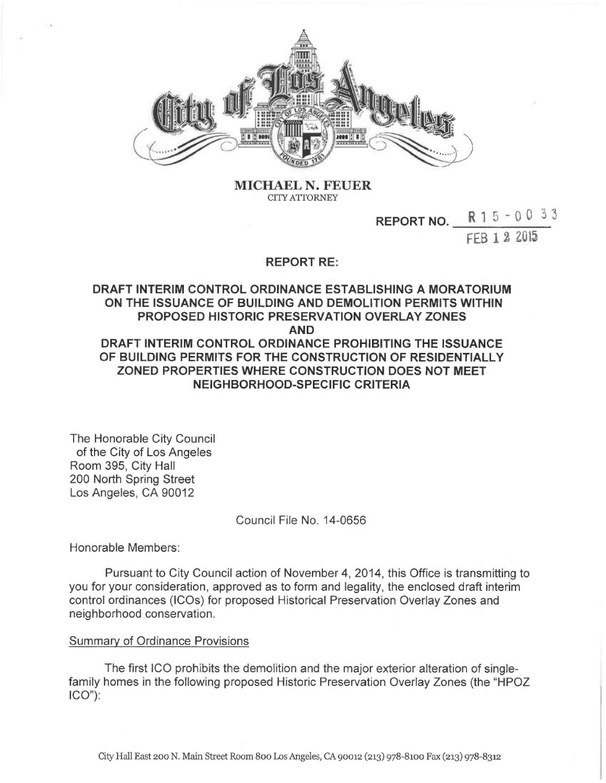

MICHAEL N. FEUER CITY ATTORNEY

#### REPORT NO. R 1 5 - 0 0 3 3

FEB 1 2 ZU15

## REPORT RE:

# DRAFT INTERIM CONTROL ORDINANCE ESTABLISHING A MORATORIUM ON THE ISSUANCE OF BUILDING AND DEMOLITION PERMITS WITHIN PROPOSED HISTORIC PRESERVATION OVERLAY ZONES AND DRAFT INTERIM CONTROL ORDINANCE PROHIBITING THE ISSUANCE OF BUILDING PERMITS FOR THE CONSTRUCTION OF RESIDENTIALLY ZONED PROPERTIES WHERE CONSTRUCTION DOES NOT MEET NEIGHBORHOOD-SPECIFIC CRITERIA

The Honorable City Council of the City of Los Angeles Room 395, City Hall 200 North Spring Street Los Angeles, CA 90012

Council File No. 14-0656

Honorable Members:

Pursuant to City Council action of November 4, 2014, this Office is transmitting to you for your consideration, approved as to form and legality, the enclosed draft interim control ordinances (IC0s) for proposed Historical Preservation Overlay Zones and neighborhood conservation.

### Summary of Ordinance Provisions

The first ICO prohibits the demolition and the major exterior alteration of singlefamily homes in the following proposed Historic Preservation Overlay Zones (the "HPOZ ICO"):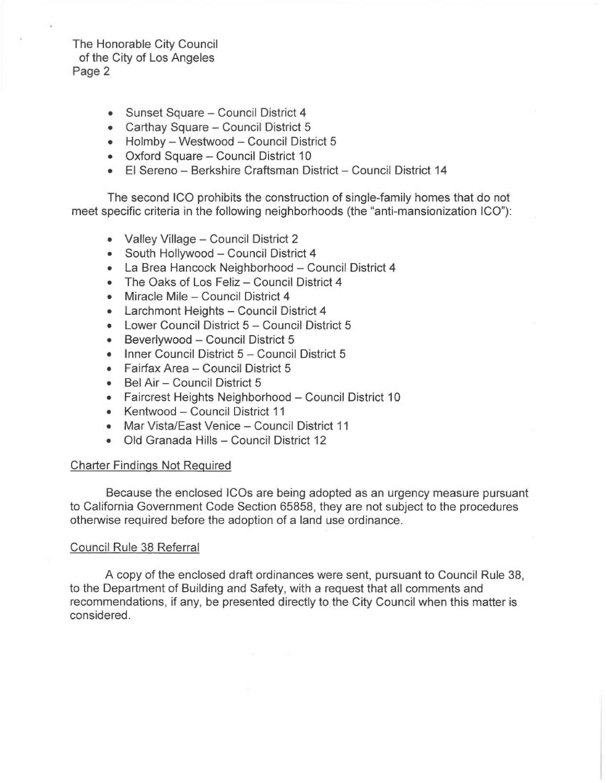# The Honorable City Council of the City of Los Angeles Page 2

- Sunset Square Council District 4
- Carthay Square Council District 5
- Holmby Westwood Council District 5
- Oxford Square Council District 10
- El Sereno Berkshire Craftsman District Council District 14

The second ICO prohibits the construction of single-family homes that do not meet specific criteria in the following neighborhoods (the "anti-mansionization ICO"):

- Valley Village Council District 2
- South Hollywood Council District 4
- La Brea Hancock Neighborhood Council District 4
- The Oaks of Los Feliz Council District 4
- Miracle Mile Council District 4
- Larchmont Heights Council District 4
- Lower Council District 5 Council District 5
- Beverlywood Council District 5
- Inner Council District 5 Council District 5
- Fairfax Area Council District 5
- Bel Air Council District 5
- Faircrest Heights Neighborhood Council District 10
- Kentwood Council District 11
- Mar Vista/East Venice Council District 11
- Old Granada Hills Council District 12

### Charter Findings Not Required

Because the enclosed ICOs are being adopted as an urgency measure pursuant to California Government Code Section 65858, they are not subject to the procedures otherwise required before the adoption of a land use ordinance.

### Council Rule 38 Referral

A copy of the enclosed draft ordinances were sent, pursuant to Council Rule 38, to the Department of Building and Safety, with a request that all comments and recommendations, if any, be presented directly to the City Council when this matter is considered.